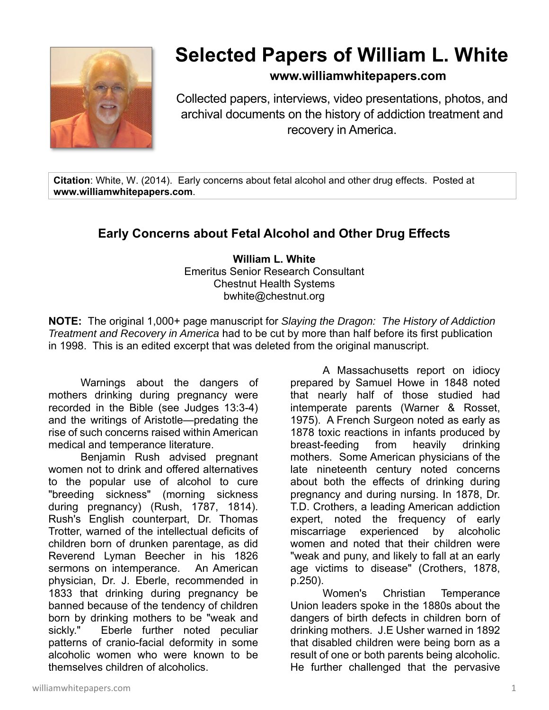

## **Selected Papers of William L. White**

## **www.williamwhitepapers.com**

Collected papers, interviews, video presentations, photos, and archival documents on the history of addiction treatment and recovery in America.

**Citation**: White, W. (2014). Early concerns about fetal alcohol and other drug effects. Posted at **www.williamwhitepapers.com**.

## **Early Concerns about Fetal Alcohol and Other Drug Effects**

**William L. White**  Emeritus Senior Research Consultant Chestnut Health Systems bwhite@chestnut.org

**NOTE:** The original 1,000+ page manuscript for *Slaying the Dragon: The History of Addiction Treatment and Recovery in America* had to be cut by more than half before its first publication in 1998. This is an edited excerpt that was deleted from the original manuscript.

 Warnings about the dangers of mothers drinking during pregnancy were recorded in the Bible (see Judges 13:3-4) and the writings of Aristotle—predating the rise of such concerns raised within American medical and temperance literature.

 Benjamin Rush advised pregnant women not to drink and offered alternatives to the popular use of alcohol to cure "breeding sickness" (morning sickness during pregnancy) (Rush, 1787, 1814). Rush's English counterpart, Dr. Thomas Trotter, warned of the intellectual deficits of children born of drunken parentage, as did Reverend Lyman Beecher in his 1826 sermons on intemperance. An American physician, Dr. J. Eberle, recommended in 1833 that drinking during pregnancy be banned because of the tendency of children born by drinking mothers to be "weak and sickly." Eberle further noted peculiar patterns of cranio-facial deformity in some alcoholic women who were known to be themselves children of alcoholics.

 A Massachusetts report on idiocy prepared by Samuel Howe in 1848 noted that nearly half of those studied had intemperate parents (Warner & Rosset, 1975). A French Surgeon noted as early as 1878 toxic reactions in infants produced by breast-feeding from heavily drinking mothers. Some American physicians of the late nineteenth century noted concerns about both the effects of drinking during pregnancy and during nursing. In 1878, Dr. T.D. Crothers, a leading American addiction expert, noted the frequency of early miscarriage experienced by alcoholic women and noted that their children were "weak and puny, and likely to fall at an early age victims to disease" (Crothers, 1878, p.250).

 Women's Christian Temperance Union leaders spoke in the 1880s about the dangers of birth defects in children born of drinking mothers. J.E Usher warned in 1892 that disabled children were being born as a result of one or both parents being alcoholic. He further challenged that the pervasive